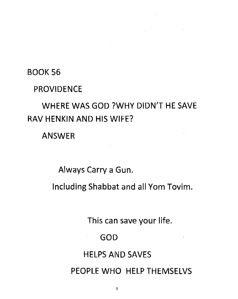#### BOOK 56

#### PROVIDENCE

## WHERE WAS GOD ?WHY DIDN'T HE SAVE RAV HENKIN AND HIS WIFE?

ANSWER

Always Carry a Gun.

Including Shabbat and all Yom Tovim.

This can save your life.

GOD

## HELPS AND SAVES

PEOPLE WHO HELP THEMSELVS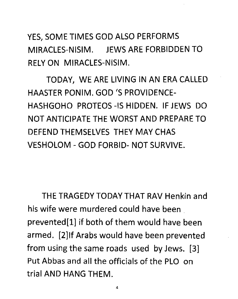YES, SOME TIMES GOD ALSO PERFORMS MIRACLES-NISIM. JEWS ARE FORBIDDEN TO RELY ON MIRACLES-NISIM.

TODAY, WE ARE LIVING IN AN ERA CALLED HAASTER PONIM. GOD '5 PROVIDENCE-HASHGOHO PROTEOS -IS HIDDEN. IF JEWS DO NOT ANTICIPATE THE WORST AND PREPARE TO DEFEND THEMSELVES THEY MAY CHAS VESHOLOM - GOD FORBID- NOT SURVIVE.

THE TRAGEDY TODAY THAT RAV Henkin and his wife were murdered could have been prevented[l] if both of them would have been armed. [2]lf Arabs would have been prevented from using the same roads used by Jews. [3] Put Abbas and all the officials of the PLO on trial AND HANG THEM.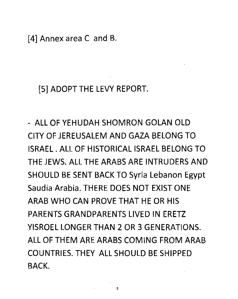[4] Annex area C and B.

[5] ADOPT THE LEVY REPORT.

- ALL OF YEHUDAH SHOMRON GOLAN OLD CITY OF JEREUSALEM AND GAZA BELONG TO ISRAEL. ALL OF HISTORICAL ISRAEL BELONG TO THE JEWS. ALL THE ARABS ARE INTRUDERS AND SHOULD BE SENT BACK TO Syria Lebanon Egypt Saudia Arabia. THERE DOES NOT EXIST ONE ARAB WHO CAN PROVE THAT HE OR HIS PARENTS GRANDPARENTS LIVED IN ERETZ YISROEL LONGER THAN 2 OR 3 GENERATIONS. ALL OF THEM ARE ARABS COMING FROM ARAB COUNTRIES. THEY ALL SHOULD BE SHIPPED BACK.

5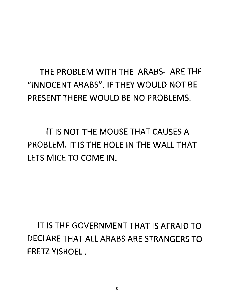# THE PROBLEM WITH THE ARABS- ARE THE "INNOCENT ARABS". IF THEY WOULD NOT BE PRESENT THERE WOULD BE NO PROBLEMS.

IT IS NOT THE MOUSE THAT CAUSES A PROBLEM. IT IS THE HOLE IN THE WALL THAT LETS MICE TO COME IN.

IT IS THE GOVERNMENT THAT IS AFRAID TO DECLARE THAT ALL ARABS ARE STRANGERS TO ERETZ YISROEL .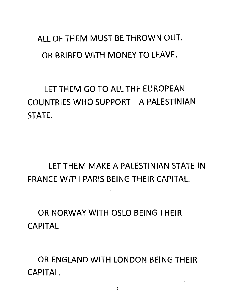ALL OF THEM MUST BE THROWN OUT. OR BRIBED WITH MONEY TO LEAVE.

LET THEM GO TO ALL THE EUROPEAN COUNTRIES WHO SUPPORT A PALESTINIAN STATE.

LET THEM MAKE A PALESTINIAN STATE IN FRANCE WITH PARIS BEING THEIR CAPITAL.

OR NORWAY WITH OSLO BEING THEIR CAPITAL

OR ENGLAND WITH LONDON BEING THEIR CAPITAL.